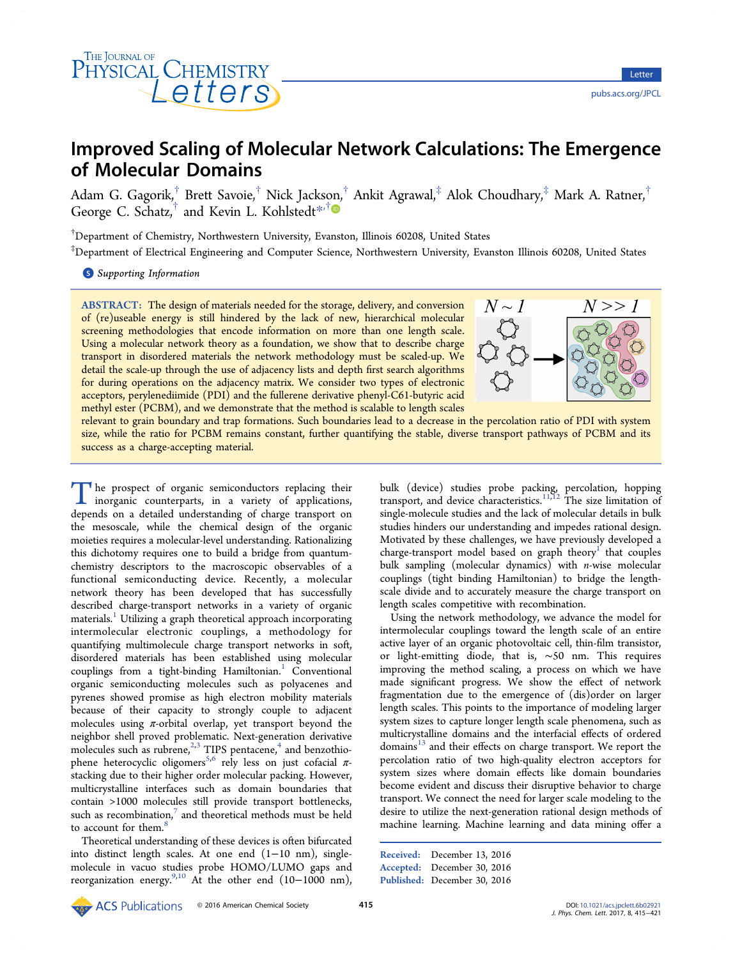

# Improved Scaling of Molecular Network Calculations: The Emergence of Molecular Domains

Adam G. Gagorik,[†](#page-0-0) Brett Savoie,[†](#page-0-0) Nick Jackson,[†](#page-0-0) Ankit Agrawal,[‡](#page-0-0) Alok Choudhary,[‡](#page-0-0) Mark A. Ratner,[†](#page-0-0) George C. Schatz,  $\dagger$  and Kevin L. Kohlstedt<sup>\*, [†](#page-0-0)</sup>

† Department of Chemistry, Northwestern University, Evanston, Illinois 60208, United States

‡ Department of Electrical Engineering and Computer Science, Northwestern University, Evanston Illinois 60208, United States

**S** [Supporting Information](#page-5-0)

ABSTRACT: The design of materials needed for the storage, delivery, and conversion of (re)useable energy is still hindered by the lack of new, hierarchical molecular screening methodologies that encode information on more than one length scale. Using a molecular network theory as a foundation, we show that to describe charge transport in disordered materials the network methodology must be scaled-up. We detail the scale-up through the use of adjacency lists and depth first search algorithms for during operations on the adjacency matrix. We consider two types of electronic acceptors, perylenediimide (PDI) and the fullerene derivative phenyl-C61-butyric acid methyl ester (PCBM), and we demonstrate that the method is scalable to length scales



relevant to grain boundary and trap formations. Such boundaries lead to a decrease in the percolation ratio of PDI with system size, while the ratio for PCBM remains constant, further quantifying the stable, diverse transport pathways of PCBM and its success as a charge-accepting material.

The prospect of organic semiconductors replacing their<br>inorganic counterparts, in a variety of applications,<br>denote an a detailed understanding of charge transport on depends on a detailed understanding of charge transport on the mesoscale, while the chemical design of the organic moieties requires a molecular-level understanding. Rationalizing this dichotomy requires one to build a bridge from quantumchemistry descriptors to the macroscopic observables of a functional semiconducting device. Recently, a molecular network theory has been developed that has successfully described charge-transport networks in a variety of organic materials.<sup>[1](#page-5-0)</sup> Utilizing a graph theoretical approach incorporating intermolecular electronic couplings, a methodology for quantifying multimolecule charge transport networks in soft, disordered materials has been established using molecular couplings from a tight-binding Hamiltonian. $1$  Conventional organic semiconducting molecules such as polyacenes and pyrenes showed promise as high electron mobility materials because of their capacity to strongly couple to adjacent molecules using  $\pi$ -orbital overlap, yet transport beyond the neighbor shell proved problematic. Next-generation derivative molecules such as rubrene,<sup>[2](#page-5-0),[3](#page-5-0)</sup> TIPS pentacene,<sup>[4](#page-5-0)</sup> and benzothio-phene heterocyclic oligomers<sup>[5](#page-5-0),[6](#page-5-0)</sup> rely less on just cofacial  $\pi$ stacking due to their higher order molecular packing. However, multicrystalline interfaces such as domain boundaries that contain >1000 molecules still provide transport bottlenecks, such as recombination, $7$  and theoretical methods must be held to account for them.<sup>[8](#page-5-0)</sup>

<span id="page-0-0"></span>Theoretical understanding of these devices is often bifurcated into distinct length scales. At one end (1−10 nm), singlemolecule in vacuo studies probe HOMO/LUMO gaps and reorganization energy.<sup>[9](#page-5-0),[10](#page-5-0)</sup> At the other end  $(10-1000)$  nm),

bulk (device) studies probe packing, percolation, hopping transport, and device characteristics.<sup>[11,12](#page-5-0)</sup> The size limitation of single-molecule studies and the lack of molecular details in bulk studies hinders our understanding and impedes rational design. Motivated by these challenges, we have previously developed a charge-transport model based on graph theory<sup>[1](#page-5-0)</sup> that couples bulk sampling (molecular dynamics) with n-wise molecular couplings (tight binding Hamiltonian) to bridge the lengthscale divide and to accurately measure the charge transport on length scales competitive with recombination.

Using the network methodology, we advance the model for intermolecular couplings toward the length scale of an entire active layer of an organic photovoltaic cell, thin-film transistor, or light-emitting diode, that is, ∼50 nm. This requires improving the method scaling, a process on which we have made significant progress. We show the effect of network fragmentation due to the emergence of (dis)order on larger length scales. This points to the importance of modeling larger system sizes to capture longer length scale phenomena, such as multicrystalline domains and the interfacial effects of ordered domains $13$  and their effects on charge transport. We report the percolation ratio of two high-quality electron acceptors for system sizes where domain effects like domain boundaries become evident and discuss their disruptive behavior to charge transport. We connect the need for larger scale modeling to the desire to utilize the next-generation rational design methods of machine learning. Machine learning and data mining offer a

Received: December 13, 2016 Accepted: December 30, 2016 Published: December 30, 2016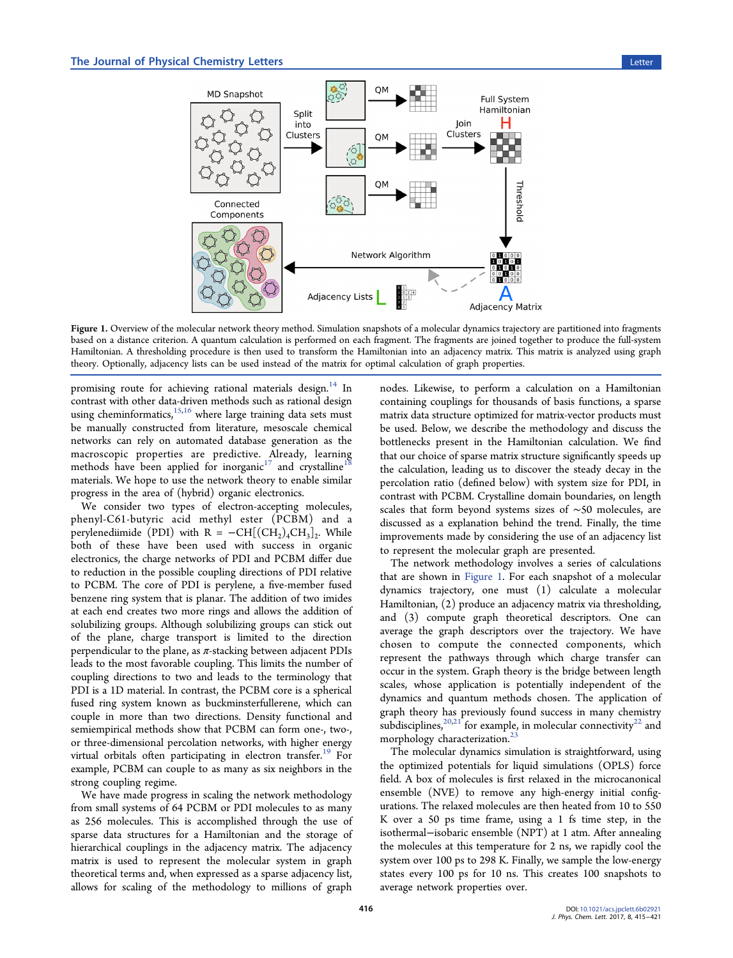

Figure 1. Overview of the molecular network theory method. Simulation snapshots of a molecular dynamics trajectory are partitioned into fragments based on a distance criterion. A quantum calculation is performed on each fragment. The fragments are joined together to produce the full-system Hamiltonian. A thresholding procedure is then used to transform the Hamiltonian into an adjacency matrix. This matrix is analyzed using graph theory. Optionally, adjacency lists can be used instead of the matrix for optimal calculation of graph properties.

promising route for achieving rational materials design.<sup>[14](#page-5-0)</sup> In contrast with other data-driven methods such as rational design using cheminformatics,<sup>[15](#page-5-0),[16](#page-5-0)</sup> where large training data sets must be manually constructed from literature, mesoscale chemical networks can rely on automated database generation as the macroscopic properties are predictive. Already, learning methods have been applied for inorganic<sup>[17](#page-5-0)</sup> and crystalline<sup>[18](#page-5-0)</sup> materials. We hope to use the network theory to enable similar progress in the area of (hybrid) organic electronics.

We consider two types of electron-accepting molecules, phenyl-C61-butyric acid methyl ester (PCBM) and a perylenediimide (PDI) with  $R = -CH[(CH<sub>2</sub>)<sub>4</sub>CH<sub>3</sub>]$ . While both of these have been used with success in organic electronics, the charge networks of PDI and PCBM differ due to reduction in the possible coupling directions of PDI relative to PCBM. The core of PDI is perylene, a five-member fused benzene ring system that is planar. The addition of two imides at each end creates two more rings and allows the addition of solubilizing groups. Although solubilizing groups can stick out of the plane, charge transport is limited to the direction perpendicular to the plane, as  $\pi$ -stacking between adjacent PDIs leads to the most favorable coupling. This limits the number of coupling directions to two and leads to the terminology that PDI is a 1D material. In contrast, the PCBM core is a spherical fused ring system known as buckminsterfullerene, which can couple in more than two directions. Density functional and semiempirical methods show that PCBM can form one-, two-, or three-dimensional percolation networks, with higher energy virtual orbitals often participating in electron transfer.<sup>[19](#page-5-0)</sup> For example, PCBM can couple to as many as six neighbors in the strong coupling regime.

<span id="page-1-0"></span>We have made progress in scaling the network methodology from small systems of 64 PCBM or PDI molecules to as many as 256 molecules. This is accomplished through the use of sparse data structures for a Hamiltonian and the storage of hierarchical couplings in the adjacency matrix. The adjacency matrix is used to represent the molecular system in graph theoretical terms and, when expressed as a sparse adjacency list, allows for scaling of the methodology to millions of graph

nodes. Likewise, to perform a calculation on a Hamiltonian containing couplings for thousands of basis functions, a sparse matrix data structure optimized for matrix-vector products must be used. Below, we describe the methodology and discuss the bottlenecks present in the Hamiltonian calculation. We find that our choice of sparse matrix structure significantly speeds up the calculation, leading us to discover the steady decay in the percolation ratio (defined below) with system size for PDI, in contrast with PCBM. Crystalline domain boundaries, on length scales that form beyond systems sizes of ∼50 molecules, are discussed as a explanation behind the trend. Finally, the time improvements made by considering the use of an adjacency list to represent the molecular graph are presented.

The network methodology involves a series of calculations that are shown in [Figure 1.](#page-1-0) For each snapshot of a molecular dynamics trajectory, one must (1) calculate a molecular Hamiltonian, (2) produce an adjacency matrix via thresholding, and (3) compute graph theoretical descriptors. One can average the graph descriptors over the trajectory. We have chosen to compute the connected components, which represent the pathways through which charge transfer can occur in the system. Graph theory is the bridge between length scales, whose application is potentially independent of the dynamics and quantum methods chosen. The application of graph theory has previously found success in many chemistry subdisciplines,<sup>[20](#page-5-0),[21](#page-5-0)</sup> for example, in molecular connectivity<sup>[22](#page-5-0)</sup> and morphology characterization.<sup>[23](#page-5-0)</sup>

The molecular dynamics simulation is straightforward, using the optimized potentials for liquid simulations (OPLS) force field. A box of molecules is first relaxed in the microcanonical ensemble (NVE) to remove any high-energy initial configurations. The relaxed molecules are then heated from 10 to 550 K over a 50 ps time frame, using a 1 fs time step, in the isothermal−isobaric ensemble (NPT) at 1 atm. After annealing the molecules at this temperature for 2 ns, we rapidly cool the system over 100 ps to 298 K. Finally, we sample the low-energy states every 100 ps for 10 ns. This creates 100 snapshots to average network properties over.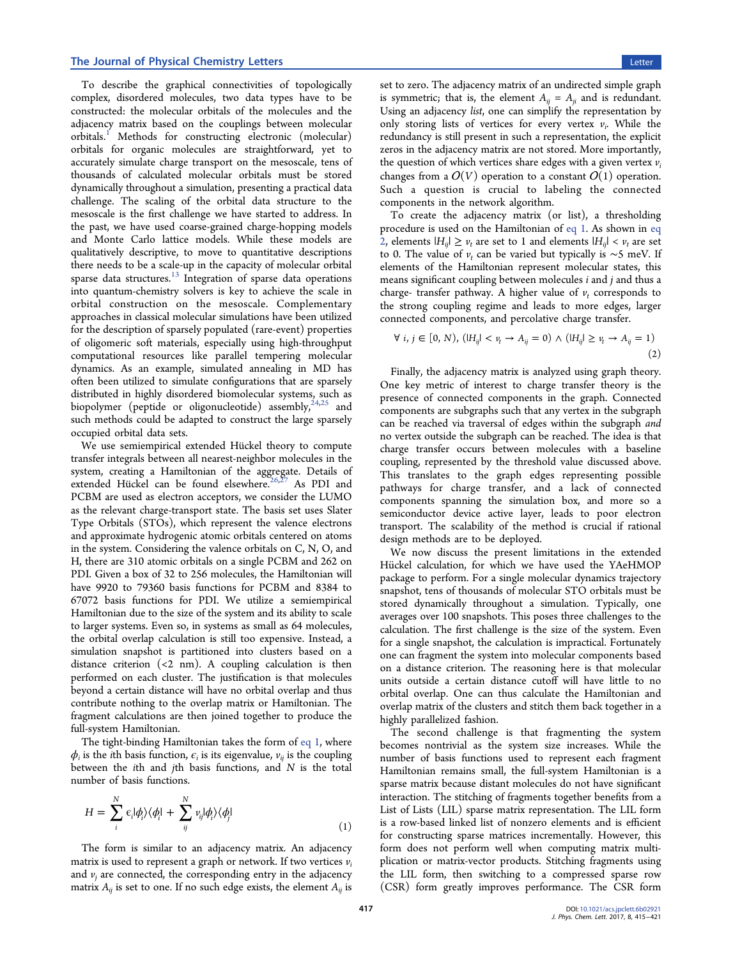To describe the graphical connectivities of topologically complex, disordered molecules, two data types have to be constructed: the molecular orbitals of the molecules and the adjacency matrix based on the couplings between molecular orbitals.[1](#page-5-0) Methods for constructing electronic (molecular) orbitals for organic molecules are straightforward, yet to accurately simulate charge transport on the mesoscale, tens of thousands of calculated molecular orbitals must be stored dynamically throughout a simulation, presenting a practical data challenge. The scaling of the orbital data structure to the mesoscale is the first challenge we have started to address. In the past, we have used coarse-grained charge-hopping models and Monte Carlo lattice models. While these models are qualitatively descriptive, to move to quantitative descriptions there needs to be a scale-up in the capacity of molecular orbital sparse data structures. $^{13}$  $^{13}$  $^{13}$  Integration of sparse data operations into quantum-chemistry solvers is key to achieve the scale in orbital construction on the mesoscale. Complementary approaches in classical molecular simulations have been utilized for the description of sparsely populated (rare-event) properties of oligomeric soft materials, especially using high-throughput computational resources like parallel tempering molecular dynamics. As an example, simulated annealing in MD has often been utilized to simulate configurations that are sparsely distributed in highly disordered biomolecular systems, such as biopolymer (peptide or oligonucleotide) assembly,  $24,25$  $24,25$  $24,25$  and such methods could be adapted to construct the large sparsely occupied orbital data sets.

We use semiempirical extended Hückel theory to compute transfer integrals between all nearest-neighbor molecules in the system, creating a Hamiltonian of the aggregate. Details of extended Hückel can be found elsewhere.<sup>[26](#page-5-0),[27](#page-5-0)</sup> As PDI and PCBM are used as electron acceptors, we consider the LUMO as the relevant charge-transport state. The basis set uses Slater Type Orbitals (STOs), which represent the valence electrons and approximate hydrogenic atomic orbitals centered on atoms in the system. Considering the valence orbitals on C, N, O, and H, there are 310 atomic orbitals on a single PCBM and 262 on PDI. Given a box of 32 to 256 molecules, the Hamiltonian will have 9920 to 79360 basis functions for PCBM and 8384 to 67072 basis functions for PDI. We utilize a semiempirical Hamiltonian due to the size of the system and its ability to scale to larger systems. Even so, in systems as small as 64 molecules, the orbital overlap calculation is still too expensive. Instead, a simulation snapshot is partitioned into clusters based on a distance criterion  $(2 \ nm)$ . A coupling calculation is then performed on each cluster. The justification is that molecules beyond a certain distance will have no orbital overlap and thus contribute nothing to the overlap matrix or Hamiltonian. The fragment calculations are then joined together to produce the full-system Hamiltonian.

The tight-binding Hamiltonian takes the form of [eq 1](#page-2-0), where  $\phi_i$  is the *i*th basis function,  $\epsilon_i$  is its eigenvalue,  $v_{ii}$  is the coupling between the *i*th and *j*th basis functions, and  $N$  is the total number of basis functions.

$$
H = \sum_{i}^{N} \epsilon_{i} | \phi_{i} \rangle \langle \phi_{i} | + \sum_{ij}^{N} v_{ij} | \phi_{i} \rangle \langle \phi_{j} |
$$
 (1)

<span id="page-2-0"></span>The form is similar to an adjacency matrix. An adjacency matrix is used to represent a graph or network. If two vertices  $v_i$ and  $v_i$  are connected, the corresponding entry in the adjacency matrix  $A_{ij}$  is set to one. If no such edge exists, the element  $A_{ij}$  is

set to zero. The adjacency matrix of an undirected simple graph is symmetric; that is, the element  $A_{ii} = A_{ii}$  and is redundant. Using an adjacency list, one can simplify the representation by only storing lists of vertices for every vertex  $v_i$ . While the redundancy is still present in such a representation, the explicit zeros in the adjacency matrix are not stored. More importantly, the question of which vertices share edges with a given vertex  $v_i$ changes from a  $O(V)$  operation to a constant  $O(1)$  operation. Such a question is crucial to labeling the connected components in the network algorithm.

To create the adjacency matrix (or list), a thresholding procedure is used on the Hamiltonian of [eq 1](#page-2-0). As shown in [eq](#page-2-0) [2](#page-2-0), elements  $|H_{ii}| \ge v_t$  are set to 1 and elements  $|H_{ii}| < v_t$  are set to 0. The value of  $v_t$  can be varied but typically is ∼5 meV. If elements of the Hamiltonian represent molecular states, this means significant coupling between molecules i and j and thus a charge- transfer pathway. A higher value of  $v_t$  corresponds to the strong coupling regime and leads to more edges, larger connected components, and percolative charge transfer.

$$
\forall i, j \in [0, N), (|H_{ij}| < \nu_t \to A_{ij} = 0) \land (|H_{ij}| \ge \nu_t \to A_{ij} = 1)
$$
\n
$$
\tag{2}
$$

Finally, the adjacency matrix is analyzed using graph theory. One key metric of interest to charge transfer theory is the presence of connected components in the graph. Connected components are subgraphs such that any vertex in the subgraph can be reached via traversal of edges within the subgraph and no vertex outside the subgraph can be reached. The idea is that charge transfer occurs between molecules with a baseline coupling, represented by the threshold value discussed above. This translates to the graph edges representing possible pathways for charge transfer, and a lack of connected components spanning the simulation box, and more so a semiconductor device active layer, leads to poor electron transport. The scalability of the method is crucial if rational design methods are to be deployed.

We now discuss the present limitations in the extended Hückel calculation, for which we have used the YAeHMOP package to perform. For a single molecular dynamics trajectory snapshot, tens of thousands of molecular STO orbitals must be stored dynamically throughout a simulation. Typically, one averages over 100 snapshots. This poses three challenges to the calculation. The first challenge is the size of the system. Even for a single snapshot, the calculation is impractical. Fortunately one can fragment the system into molecular components based on a distance criterion. The reasoning here is that molecular units outside a certain distance cutoff will have little to no orbital overlap. One can thus calculate the Hamiltonian and overlap matrix of the clusters and stitch them back together in a highly parallelized fashion.

The second challenge is that fragmenting the system becomes nontrivial as the system size increases. While the number of basis functions used to represent each fragment Hamiltonian remains small, the full-system Hamiltonian is a sparse matrix because distant molecules do not have significant interaction. The stitching of fragments together benefits from a List of Lists (LIL) sparse matrix representation. The LIL form is a row-based linked list of nonzero elements and is efficient for constructing sparse matrices incrementally. However, this form does not perform well when computing matrix multiplication or matrix-vector products. Stitching fragments using the LIL form, then switching to a compressed sparse row (CSR) form greatly improves performance. The CSR form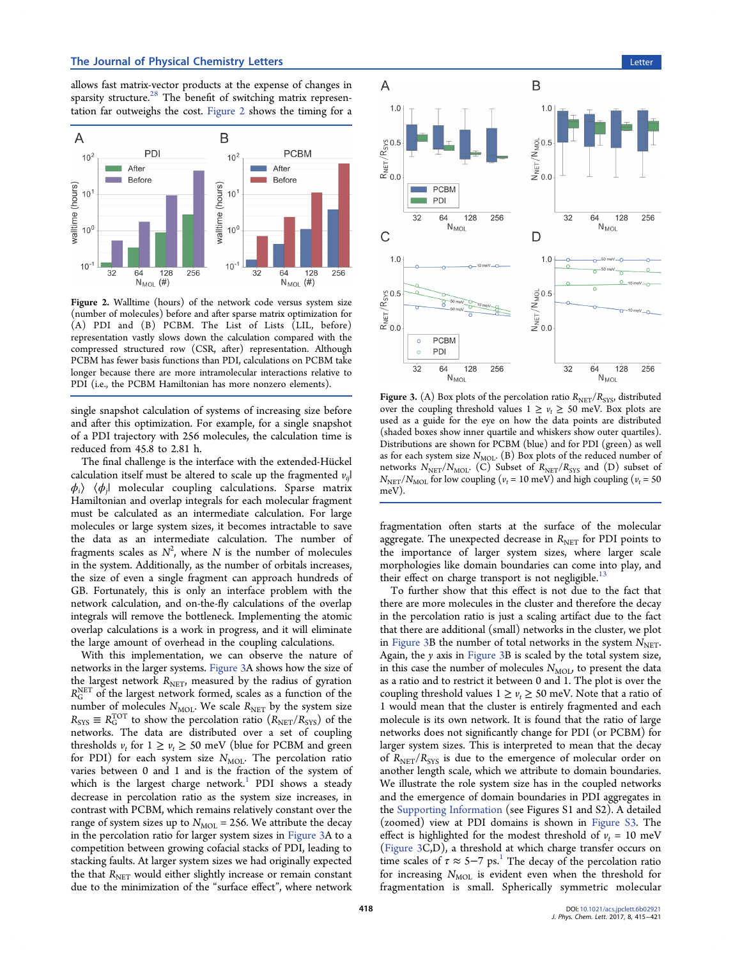allows fast matrix-vector products at the expense of changes in sparsity structure.<sup>[28](#page-5-0)</sup> The benefit of switching matrix representation far outweighs the cost. [Figure 2](#page-3-0) shows the timing for a



Figure 2. Walltime (hours) of the network code versus system size (number of molecules) before and after sparse matrix optimization for (A) PDI and (B) PCBM. The List of Lists (LIL, before) representation vastly slows down the calculation compared with the compressed structured row (CSR, after) representation. Although PCBM has fewer basis functions than PDI, calculations on PCBM take longer because there are more intramolecular interactions relative to PDI (i.e., the PCBM Hamiltonian has more nonzero elements).

single snapshot calculation of systems of increasing size before and after this optimization. For example, for a single snapshot of a PDI trajectory with 256 molecules, the calculation time is reduced from 45.8 to 2.81 h.

The final challenge is the interface with the extended-Hückel calculation itself must be altered to scale up the fragmented  $v_{ij}$  $\langle \phi_i \rangle$   $\langle \phi_j |$  molecular coupling calculations. Sparse matrix Hamiltonian and overlap integrals for each molecular fragment must be calculated as an intermediate calculation. For large molecules or large system sizes, it becomes intractable to save the data as an intermediate calculation. The number of fragments scales as  $N^2$ , where  $N$  is the number of molecules in the system. Additionally, as the number of orbitals increases, the size of even a single fragment can approach hundreds of GB. Fortunately, this is only an interface problem with the network calculation, and on-the-fly calculations of the overlap integrals will remove the bottleneck. Implementing the atomic overlap calculations is a work in progress, and it will eliminate the large amount of overhead in the coupling calculations.

<span id="page-3-0"></span>With this implementation, we can observe the nature of networks in the larger systems. [Figure 3A](#page-3-0) shows how the size of the largest network  $R<sub>NET</sub>$ , measured by the radius of gyration  $R_G^{\rm NET}$  of the largest network formed, scales as a function of the number of molecules  $N_{\text{MOL}}$ . We scale  $R_{\text{NET}}$  by the system size  $R_{\rm{SYS}} \equiv R_{\rm{G}}^{\rm{TOT}}$  to show the percolation ratio  $(R_{\rm{NET}}/R_{\rm{SYS}})$  of the networks. The data are distributed over a set of coupling thresholds  $v_t$  for  $1 \ge v_t \ge 50$  meV (blue for PCBM and green for PDI) for each system size  $N_{\text{MOL}}$ . The percolation ratio varies between 0 and 1 and is the fraction of the system of which is the largest charge network.<sup>[1](#page-5-0)</sup> PDI shows a steady decrease in percolation ratio as the system size increases, in contrast with PCBM, which remains relatively constant over the range of system sizes up to  $N_{\text{MOL}} = 256$ . We attribute the decay in the percolation ratio for larger system sizes in [Figure 3](#page-3-0)A to a competition between growing cofacial stacks of PDI, leading to stacking faults. At larger system sizes we had originally expected the that  $R<sub>NET</sub>$  would either slightly increase or remain constant due to the minimization of the "surface effect", where network



Figure 3. (A) Box plots of the percolation ratio  $R_{\rm NET}/R_{\rmSYS}$  distributed over the coupling threshold values  $1 \ge v_t \ge 50$  meV. Box plots are used as a guide for the eye on how the data points are distributed (shaded boxes show inner quartile and whiskers show outer quartiles). Distributions are shown for PCBM (blue) and for PDI (green) as well as for each system size  $N_{\text{MOL}}$ . (B) Box plots of the reduced number of networks  $N_{\rm NET}/N_{\rm MOL}$ . (C) Subset of  $R_{\rm NET}/R_{\rmSYS}$  and (D) subset of  $N_{\text{NET}}/N_{\text{MOL}}$  for low coupling ( $v_t$  = 10 meV) and high coupling ( $v_t$  = 50 meV).

fragmentation often starts at the surface of the molecular aggregate. The unexpected decrease in  $R<sub>NET</sub>$  for PDI points to the importance of larger system sizes, where larger scale morphologies like domain boundaries can come into play, and their effect on charge transport is not negligible.<sup>[13](#page-5-0)</sup>

To further show that this effect is not due to the fact that there are more molecules in the cluster and therefore the decay in the percolation ratio is just a scaling artifact due to the fact that there are additional (small) networks in the cluster, we plot in [Figure 3](#page-3-0)B the number of total networks in the system  $N<sub>NET</sub>$ . Again, the  $y$  axis in Figure  $3B$  is scaled by the total system size, in this case the number of molecules  $N_{\text{MOL}}$ , to present the data as a ratio and to restrict it between 0 and 1. The plot is over the coupling threshold values  $1 \ge v_t \ge 50$  meV. Note that a ratio of 1 would mean that the cluster is entirely fragmented and each molecule is its own network. It is found that the ratio of large networks does not significantly change for PDI (or PCBM) for larger system sizes. This is interpreted to mean that the decay of  $R_{\text{NET}}/R_{\text{SYS}}$  is due to the emergence of molecular order on another length scale, which we attribute to domain boundaries. We illustrate the role system size has in the coupled networks and the emergence of domain boundaries in PDI aggregates in the [Supporting Information](http://pubs.acs.org/doi/suppl/10.1021/acs.jpclett.6b02921/suppl_file/jz6b02921_si_001.pdf) (see Figures S1 and S2). A detailed (zoomed) view at PDI domains is shown in [Figure S3.](http://pubs.acs.org/doi/suppl/10.1021/acs.jpclett.6b02921/suppl_file/jz6b02921_si_001.pdf) The effect is highlighted for the modest threshold of  $v_t = 10$  meV [\(Figure 3C](#page-3-0),D), a threshold at which charge transfer occurs on time scales of  $\tau \approx 5-7$  ps.<sup>[1](#page-5-0)</sup> The decay of the percolation ratio for increasing  $N_{\text{MOL}}$  is evident even when the threshold for fragmentation is small. Spherically symmetric molecular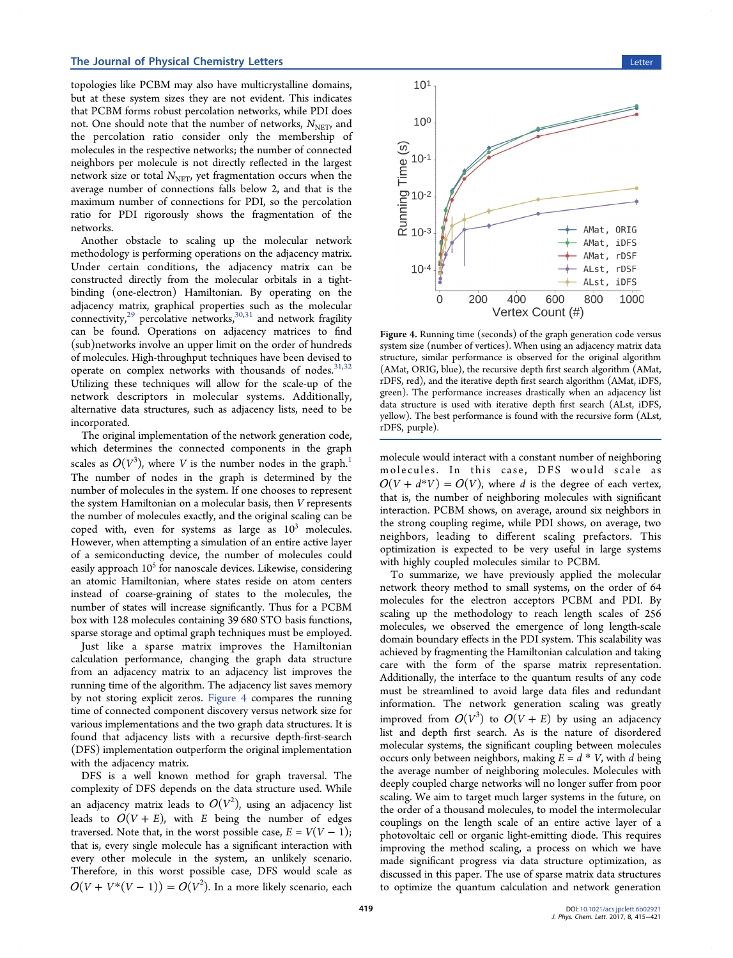# **The Journal of Physical Chemistry Letters** Letters **Communisty Communisty Communisty Communisty Communisty Communisty Communisty Communisty Communisty Communisty Communisty Communisty Communisty Communisty Communisty Comm**

topologies like PCBM may also have multicrystalline domains, but at these system sizes they are not evident. This indicates that PCBM forms robust percolation networks, while PDI does not. One should note that the number of networks,  $N<sub>NET</sub>$ , and the percolation ratio consider only the membership of molecules in the respective networks; the number of connected neighbors per molecule is not directly reflected in the largest network size or total  $N<sub>NET</sub>$ , yet fragmentation occurs when the average number of connections falls below 2, and that is the maximum number of connections for PDI, so the percolation ratio for PDI rigorously shows the fragmentation of the networks.

Another obstacle to scaling up the molecular network methodology is performing operations on the adjacency matrix. Under certain conditions, the adjacency matrix can be constructed directly from the molecular orbitals in a tightbinding (one-electron) Hamiltonian. By operating on the adjacency matrix, graphical properties such as the molecular connectivity, $29$  percolative networks, $30,31$  $30,31$  $30,31$  and network fragility can be found. Operations on adjacency matrices to find (sub)networks involve an upper limit on the order of hundreds of molecules. High-throughput techniques have been devised to operate on complex networks with thousands of nodes.<sup>[31,32](#page-6-0)</sup> Utilizing these techniques will allow for the scale-up of the network descriptors in molecular systems. Additionally, alternative data structures, such as adjacency lists, need to be incorporated.

The original implementation of the network generation code, which determines the connected components in the graph scales as  $O(V^3)$ , where V is the number nodes in the graph.<sup>[1](#page-5-0)</sup> The number of nodes in the graph is determined by the number of molecules in the system. If one chooses to represent the system Hamiltonian on a molecular basis, then V represents the number of molecules exactly, and the original scaling can be coped with, even for systems as large as  $10<sup>3</sup>$  molecules. However, when attempting a simulation of an entire active layer of a semiconducting device, the number of molecules could easily approach 10<sup>5</sup> for nanoscale devices. Likewise, considering an atomic Hamiltonian, where states reside on atom centers instead of coarse-graining of states to the molecules, the number of states will increase significantly. Thus for a PCBM box with 128 molecules containing 39 680 STO basis functions, sparse storage and optimal graph techniques must be employed.

Just like a sparse matrix improves the Hamiltonian calculation performance, changing the graph data structure from an adjacency matrix to an adjacency list improves the running time of the algorithm. The adjacency list saves memory by not storing explicit zeros. [Figure 4](#page-4-0) compares the running time of connected component discovery versus network size for various implementations and the two graph data structures. It is found that adjacency lists with a recursive depth-first-search (DFS) implementation outperform the original implementation with the adjacency matrix.

<span id="page-4-0"></span>DFS is a well known method for graph traversal. The complexity of DFS depends on the data structure used. While an adjacency matrix leads to  $O(V^2)$ , using an adjacency list leads to  $O(V + E)$ , with E being the number of edges traversed. Note that, in the worst possible case,  $E = V(V - 1)$ ; that is, every single molecule has a significant interaction with every other molecule in the system, an unlikely scenario. Therefore, in this worst possible case, DFS would scale as  $O(V + V^*(V - 1)) = O(V^2)$ . In a more likely scenario, each



Figure 4. Running time (seconds) of the graph generation code versus system size (number of vertices). When using an adjacency matrix data structure, similar performance is observed for the original algorithm (AMat, ORIG, blue), the recursive depth first search algorithm (AMat, rDFS, red), and the iterative depth first search algorithm (AMat, iDFS, green). The performance increases drastically when an adjacency list data structure is used with iterative depth first search (ALst, iDFS, yellow). The best performance is found with the recursive form (ALst, rDFS, purple).

molecule would interact with a constant number of neighboring molecules. In this case, DFS would scale as  $O(V + d^* V) = O(V)$ , where d is the degree of each vertex, that is, the number of neighboring molecules with significant interaction. PCBM shows, on average, around six neighbors in the strong coupling regime, while PDI shows, on average, two neighbors, leading to different scaling prefactors. This optimization is expected to be very useful in large systems with highly coupled molecules similar to PCBM.

To summarize, we have previously applied the molecular network theory method to small systems, on the order of 64 molecules for the electron acceptors PCBM and PDI. By scaling up the methodology to reach length scales of 256 molecules, we observed the emergence of long length-scale domain boundary effects in the PDI system. This scalability was achieved by fragmenting the Hamiltonian calculation and taking care with the form of the sparse matrix representation. Additionally, the interface to the quantum results of any code must be streamlined to avoid large data files and redundant information. The network generation scaling was greatly improved from  $O(V^3)$  to  $O(V + E)$  by using an adjacency list and depth first search. As is the nature of disordered molecular systems, the significant coupling between molecules occurs only between neighbors, making  $E = d * V$ , with d being the average number of neighboring molecules. Molecules with deeply coupled charge networks will no longer suffer from poor scaling. We aim to target much larger systems in the future, on the order of a thousand molecules, to model the intermolecular couplings on the length scale of an entire active layer of a photovoltaic cell or organic light-emitting diode. This requires improving the method scaling, a process on which we have made significant progress via data structure optimization, as discussed in this paper. The use of sparse matrix data structures to optimize the quantum calculation and network generation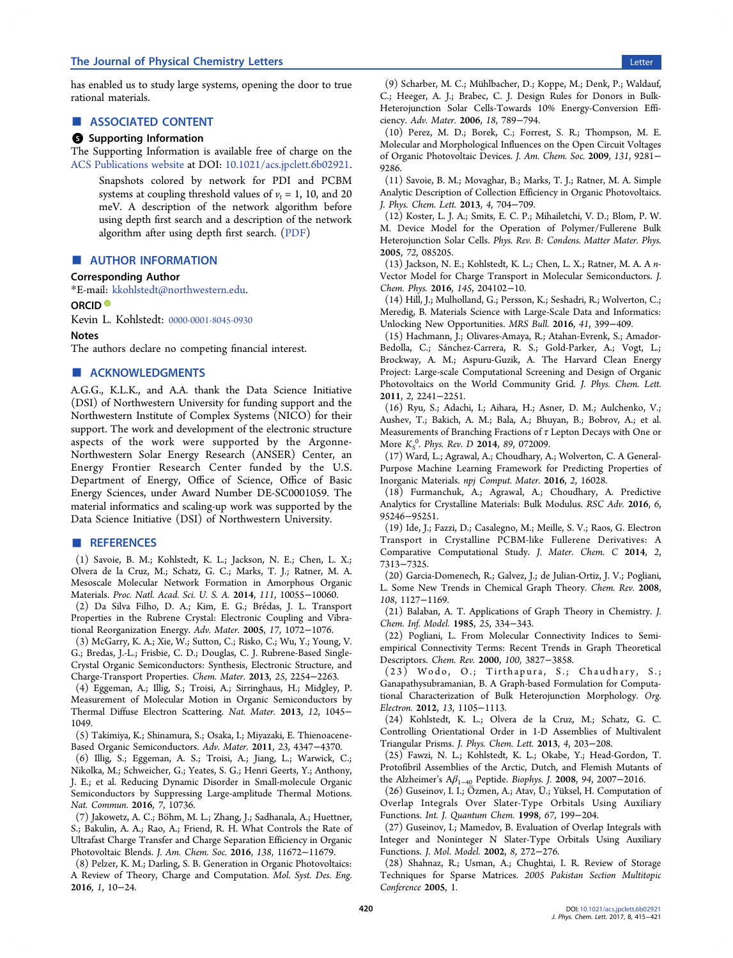has enabled us to study large systems, opening the door to true rational materials.

# ■ ASSOCIATED CONTENT

#### **6** Supporting Information

The Supporting Information is available free of charge on the [ACS Publications website](http://pubs.acs.org) at DOI: [10.1021/acs.jpclett.6b02921](http://pubs.acs.org/doi/abs/10.1021/acs.jpclett.6b02921).

Snapshots colored by network for PDI and PCBM systems at coupling threshold values of  $v_t = 1$ , 10, and 20 meV. A description of the network algorithm before using depth first search and a description of the network algorithm after using depth first search. [\(PDF](http://pubs.acs.org/doi/suppl/10.1021/acs.jpclett.6b02921/suppl_file/jz6b02921_si_001.pdf))

#### ■ AUTHOR INFORMATION

#### Corresponding Author

\*E-mail: [kkohlstedt@northwestern.edu.](mailto:kkohlstedt@northwestern.edu)

#### ORCID<sup>®</sup>

Kevin L. Kohlstedt: [0000-0001-8045-0930](http://orcid.org/0000-0001-8045-0930)

**Notes** 

The authors declare no competing financial interest.

## ■ ACKNOWLEDGMENTS

A.G.G., K.L.K., and A.A. thank the Data Science Initiative (DSI) of Northwestern University for funding support and the Northwestern Institute of Complex Systems (NICO) for their support. The work and development of the electronic structure aspects of the work were supported by the Argonne-Northwestern Solar Energy Research (ANSER) Center, an Energy Frontier Research Center funded by the U.S. Department of Energy, Office of Science, Office of Basic Energy Sciences, under Award Number DE-SC0001059. The material informatics and scaling-up work was supported by the Data Science Initiative (DSI) of Northwestern University.

### ■ REFERENCES

(1) Savoie, B. M.; Kohlstedt, K. L.; Jackson, N. E.; Chen, L. X.; Olvera de la Cruz, M.; Schatz, G. C.; Marks, T. J.; Ratner, M. A. Mesoscale Molecular Network Formation in Amorphous Organic Materials. Proc. Natl. Acad. Sci. U. S. A. 2014, 111, 10055−10060.

(2) Da Silva Filho, D. A.; Kim, E. G.; Bredas, J. L. Transport ́ Properties in the Rubrene Crystal: Electronic Coupling and Vibrational Reorganization Energy. Adv. Mater. 2005, 17, 1072−1076.

(3) McGarry, K. A.; Xie, W.; Sutton, C.; Risko, C.; Wu, Y.; Young, V. G.; Bredas, J.-L.; Frisbie, C. D.; Douglas, C. J. Rubrene-Based Single-Crystal Organic Semiconductors: Synthesis, Electronic Structure, and Charge-Transport Properties. Chem. Mater. 2013, 25, 2254−2263.

(4) Eggeman, A.; Illig, S.; Troisi, A.; Sirringhaus, H.; Midgley, P. Measurement of Molecular Motion in Organic Semiconductors by Thermal Diffuse Electron Scattering. Nat. Mater. 2013, 12, 1045− 1049.

(5) Takimiya, K.; Shinamura, S.; Osaka, I.; Miyazaki, E. Thienoacene-Based Organic Semiconductors. Adv. Mater. 2011, 23, 4347−4370.

(6) Illig, S.; Eggeman, A. S.; Troisi, A.; Jiang, L.; Warwick, C.; Nikolka, M.; Schweicher, G.; Yeates, S. G.; Henri Geerts, Y.; Anthony, J. E.; et al. Reducing Dynamic Disorder in Small-molecule Organic Semiconductors by Suppressing Large-amplitude Thermal Motions. Nat. Commun. 2016, 7, 10736.

(7) Jakowetz, A. C.; Bö hm, M. L.; Zhang, J.; Sadhanala, A.; Huettner, S.; Bakulin, A. A.; Rao, A.; Friend, R. H. What Controls the Rate of Ultrafast Charge Transfer and Charge Separation Efficiency in Organic Photovoltaic Blends. J. Am. Chem. Soc. 2016, 138, 11672−11679.

<span id="page-5-0"></span>(8) Pelzer, K. M.; Darling, S. B. Generation in Organic Photovoltaics: A Review of Theory, Charge and Computation. Mol. Syst. Des. Eng. 2016, 1, 10−24.

(9) Scharber, M. C.; Mü hlbacher, D.; Koppe, M.; Denk, P.; Waldauf, C.; Heeger, A. J.; Brabec, C. J. Design Rules for Donors in Bulk-Heterojunction Solar Cells-Towards 10% Energy-Conversion Efficiency. Adv. Mater. 2006, 18, 789−794.

(10) Perez, M. D.; Borek, C.; Forrest, S. R.; Thompson, M. E. Molecular and Morphological Influences on the Open Circuit Voltages of Organic Photovoltaic Devices. J. Am. Chem. Soc. 2009, 131, 9281− 9286.

(11) Savoie, B. M.; Movaghar, B.; Marks, T. J.; Ratner, M. A. Simple Analytic Description of Collection Efficiency in Organic Photovoltaics. J. Phys. Chem. Lett. 2013, 4, 704−709.

(12) Koster, L. J. A.; Smits, E. C. P.; Mihailetchi, V. D.; Blom, P. W. M. Device Model for the Operation of Polymer/Fullerene Bulk Heterojunction Solar Cells. Phys. Rev. B: Condens. Matter Mater. Phys. 2005, 72, 085205.

(13) Jackson, N. E.; Kohlstedt, K. L.; Chen, L. X.; Ratner, M. A. A n-Vector Model for Charge Transport in Molecular Semiconductors. J. Chem. Phys. 2016, 145, 204102−10.

(14) Hill, J.; Mulholland, G.; Persson, K.; Seshadri, R.; Wolverton, C.; Meredig, B. Materials Science with Large-Scale Data and Informatics: Unlocking New Opportunities. MRS Bull. 2016, 41, 399−409.

(15) Hachmann, J.; Olivares-Amaya, R.; Atahan-Evrenk, S.; Amador-Bedolla, C.; Sánchez-Carrera, R. S.; Gold-Parker, A.; Vogt, L.; Brockway, A. M.; Aspuru-Guzik, A. The Harvard Clean Energy Project: Large-scale Computational Screening and Design of Organic Photovoltaics on the World Community Grid. J. Phys. Chem. Lett. 2011, 2, 2241−2251.

(16) Ryu, S.; Adachi, I.; Aihara, H.; Asner, D. M.; Aulchenko, V.; Aushev, T.; Bakich, A. M.; Bala, A.; Bhuyan, B.; Bobrov, A.; et al. Measurements of Branching Fractions of  $\tau$  Lepton Decays with One or More  $K_S^0$ . Phys. Rev. D 2014, 89, 072009.

(17) Ward, L.; Agrawal, A.; Choudhary, A.; Wolverton, C. A General-Purpose Machine Learning Framework for Predicting Properties of Inorganic Materials. npj Comput. Mater. 2016, 2, 16028.

(18) Furmanchuk, A.; Agrawal, A.; Choudhary, A. Predictive Analytics for Crystalline Materials: Bulk Modulus. RSC Adv. 2016, 6, 95246−95251.

(19) Ide, J.; Fazzi, D.; Casalegno, M.; Meille, S. V.; Raos, G. Electron Transport in Crystalline PCBM-like Fullerene Derivatives: A Comparative Computational Study. J. Mater. Chem. C 2014, 2, 7313−7325.

(20) Garcia-Domenech, R.; Galvez, J.; de Julian-Ortiz, J. V.; Pogliani, L. Some New Trends in Chemical Graph Theory. Chem. Rev. 2008, 108, 1127−1169.

(21) Balaban, A. T. Applications of Graph Theory in Chemistry. J. Chem. Inf. Model. 1985, 25, 334−343.

(22) Pogliani, L. From Molecular Connectivity Indices to Semiempirical Connectivity Terms: Recent Trends in Graph Theoretical Descriptors. Chem. Rev. 2000, 100, 3827−3858.

(23) Wodo, O.; Tirthapura, S.; Chaudhary, S.; Ganapathysubramanian, B. A Graph-based Formulation for Computational Characterization of Bulk Heterojunction Morphology. Org. Electron. 2012, 13, 1105−1113.

(24) Kohlstedt, K. L.; Olvera de la Cruz, M.; Schatz, G. C. Controlling Orientational Order in 1-D Assemblies of Multivalent Triangular Prisms. J. Phys. Chem. Lett. 2013, 4, 203−208.

(25) Fawzi, N. L.; Kohlstedt, K. L.; Okabe, Y.; Head-Gordon, T. Protofibril Assemblies of the Arctic, Dutch, and Flemish Mutants of the Alzheimer's Aβ<sub>1−40</sub> Peptide. Biophys. J. 2008, 94, 2007−2016.

(26) Guseinov, I. I.; Özmen, A.; Atav, Ü.; Yüksel, H. Computation of Overlap Integrals Over Slater-Type Orbitals Using Auxiliary Functions. Int. J. Quantum Chem. 1998, 67, 199−204.

(27) Guseinov, I.; Mamedov, B. Evaluation of Overlap Integrals with Integer and Noninteger N Slater-Type Orbitals Using Auxiliary Functions. J. Mol. Model. 2002, 8, 272−276.

(28) Shahnaz, R.; Usman, A.; Chughtai, I. R. Review of Storage Techniques for Sparse Matrices. 2005 Pakistan Section Multitopic Conference 2005, 1.